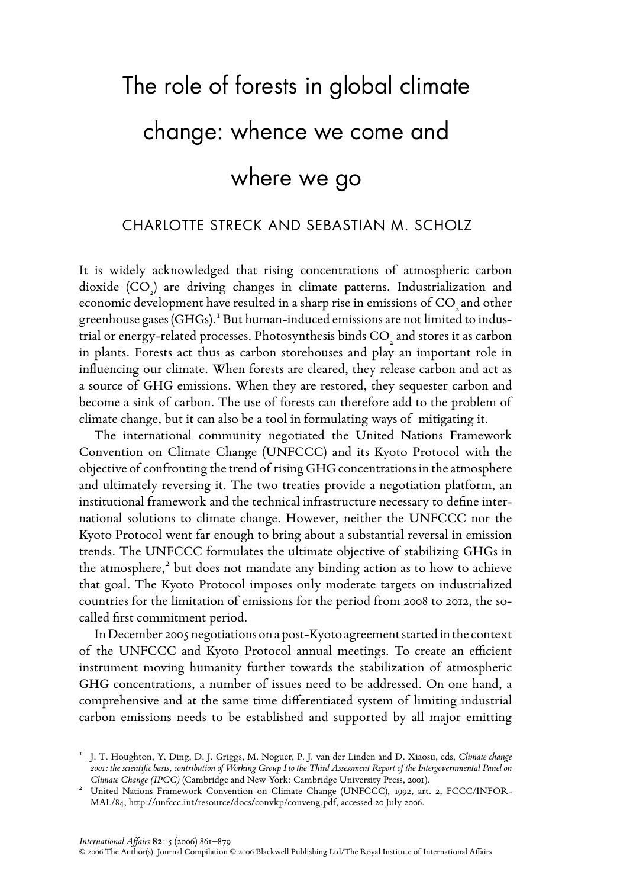# The role of forests in global climate change: whence we come and where we go

# CHARLOTTE STRECK AND SEBASTIAN M. SCHOLZ

It is widely acknowledged that rising concentrations of atmospheric carbon dioxide  $(CO<sub>2</sub>)$  are driving changes in climate patterns. Industrialization and economic development have resulted in a sharp rise in emissions of CO<sub>2</sub> and other greenhouse gases (GHGs). $^{\rm I}$  But human-induced emissions are not limited to industrial or energy-related processes. Photosynthesis binds  $\mathrm{CO}_\text{\tiny{2}}$  and stores it as carbon in plants. Forests act thus as carbon storehouses and play an important role in influencing our climate. When forests are cleared, they release carbon and act as a source of GHG emissions. When they are restored, they sequester carbon and become a sink of carbon. The use of forests can therefore add to the problem of climate change, but it can also be a tool in formulating ways of mitigating it.

The international community negotiated the United Nations Framework Convention on Climate Change (UNFCCC) and its Kyoto Protocol with the objective of confronting the trend of rising GHG concentrations in the atmosphere and ultimately reversing it. The two treaties provide a negotiation platform, an institutional framework and the technical infrastructure necessary to define international solutions to climate change. However, neither the UNFCCC nor the Kyoto Protocol went far enough to bring about a substantial reversal in emission trends. The UNFCCC formulates the ultimate objective of stabilizing GHGs in the atmosphere,<sup>2</sup> but does not mandate any binding action as to how to achieve that goal. The Kyoto Protocol imposes only moderate targets on industrialized countries for the limitation of emissions for the period from 2008 to 2012, the socalled first commitment period.

In December 2005 negotiations on a post-Kyoto agreement started in the context of the UNFCCC and Kyoto Protocol annual meetings. To create an efficient instrument moving humanity further towards the stabilization of atmospheric GHG concentrations, a number of issues need to be addressed. On one hand, a comprehensive and at the same time differentiated system of limiting industrial carbon emissions needs to be established and supported by all major emitting

<sup>1</sup> J. T. Houghton, Y. Ding, D. J. Griggs, M. Noguer, P. J. van der Linden and D. Xiaosu, eds, *Climate change 2001: the scientifi c basis, contribution of Working Group I to the Third Assessment Report of the Intergovernmental Panel on Climate Change (IPCC)* (Cambridge and New York: Cambridge University Press, 2001). <sup>2</sup>

<sup>&</sup>lt;sup>2</sup> United Nations Framework Convention on Climate Change (UNFCCC), 1992, art. 2, FCCC/INFOR-MAL/84, http://unfccc.int/resource/docs/convkp/conveng.pdf, accessed 20 July 2006.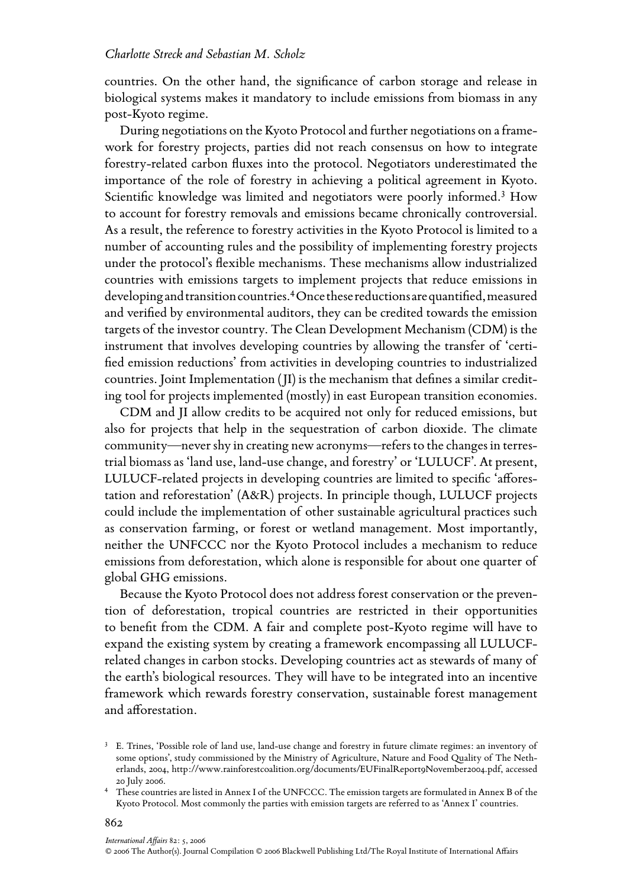countries. On the other hand, the significance of carbon storage and release in biological systems makes it mandatory to include emissions from biomass in any post-Kyoto regime.

During negotiations on the Kyoto Protocol and further negotiations on a framework for forestry projects, parties did not reach consensus on how to integrate forestry-related carbon fluxes into the protocol. Negotiators underestimated the importance of the role of forestry in achieving a political agreement in Kyoto. Scientific knowledge was limited and negotiators were poorly informed.<sup>3</sup> How to account for forestry removals and emissions became chronically controversial. As a result, the reference to forestry activities in the Kyoto Protocol is limited to a number of accounting rules and the possibility of implementing forestry projects under the protocol's flexible mechanisms. These mechanisms allow industrialized countries with emissions targets to implement projects that reduce emissions in developing and transition countries.4 Once these reductions are quantifi ed, measured and verified by environmental auditors, they can be credited towards the emission targets of the investor country. The Clean Development Mechanism (CDM) is the instrument that involves developing countries by allowing the transfer of 'certified emission reductions' from activities in developing countries to industrialized countries. Joint Implementation  $(II)$  is the mechanism that defines a similar crediting tool for projects implemented (mostly) in east European transition economies.

CDM and JI allow credits to be acquired not only for reduced emissions, but also for projects that help in the sequestration of carbon dioxide. The climate community—never shy in creating new acronyms—refers to the changes in terrestrial biomass as 'land use, land-use change, and forestry' or 'LULUCF'. At present, LULUCF-related projects in developing countries are limited to specific 'afforestation and reforestation' (A&R) projects. In principle though, LULUCF projects could include the implementation of other sustainable agricultural practices such as conservation farming, or forest or wetland management. Most importantly, neither the UNFCCC nor the Kyoto Protocol includes a mechanism to reduce emissions from deforestation, which alone is responsible for about one quarter of global GHG emissions.

Because the Kyoto Protocol does not address forest conservation or the prevention of deforestation, tropical countries are restricted in their opportunities to benefit from the CDM. A fair and complete post-Kyoto regime will have to expand the existing system by creating a framework encompassing all LULUCFrelated changes in carbon stocks. Developing countries act as stewards of many of the earth's biological resources. They will have to be integrated into an incentive framework which rewards forestry conservation, sustainable forest management and afforestation.

<sup>3</sup> E. Trines, 'Possible role of land use, land-use change and forestry in future climate regimes: an inventory of some options', study commissioned by the Ministry of Agriculture, Nature and Food Quality of The Netherlands, 2004, http://www.rainforestcoalition.org/documents/EUFinalReport9November2004.pdf, accessed 20 July 2006. <sup>4</sup>

These countries are listed in Annex I of the UNFCCC. The emission targets are formulated in Annex B of the Kyoto Protocol. Most commonly the parties with emission targets are referred to as 'Annex I' countries.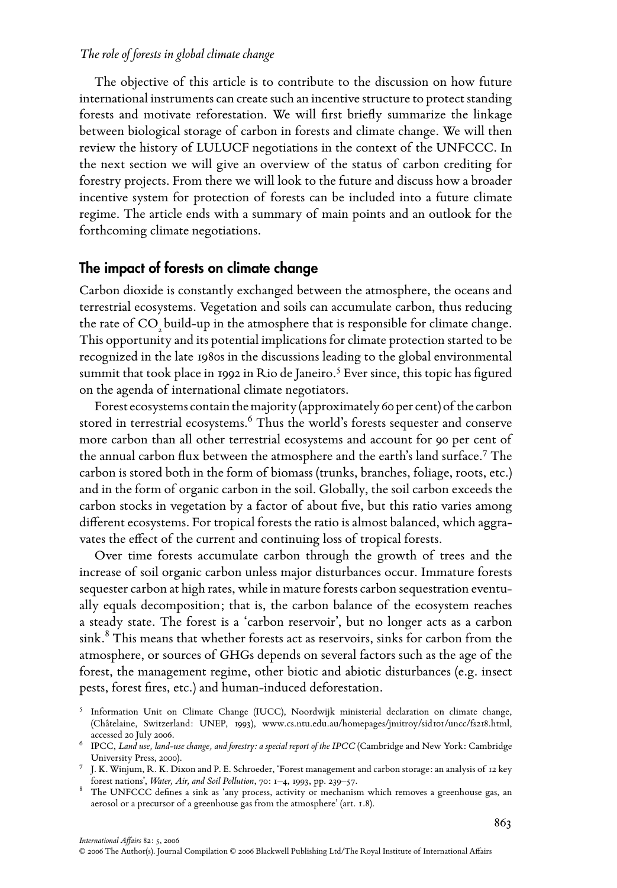The objective of this article is to contribute to the discussion on how future international instruments can create such an incentive structure to protect standing forests and motivate reforestation. We will first briefly summarize the linkage between biological storage of carbon in forests and climate change. We will then review the history of LULUCF negotiations in the context of the UNFCCC. In the next section we will give an overview of the status of carbon crediting for forestry projects. From there we will look to the future and discuss how a broader incentive system for protection of forests can be included into a future climate regime. The article ends with a summary of main points and an outlook for the forthcoming climate negotiations.

## **The impact of forests on climate change**

Carbon dioxide is constantly exchanged between the atmosphere, the oceans and terrestrial ecosystems. Vegetation and soils can accumulate carbon, thus reducing the rate of CO<sub>2</sub> build-up in the atmosphere that is responsible for climate change. This opportunity and its potential implications for climate protection started to be recognized in the late 1980s in the discussions leading to the global environmental summit that took place in 1992 in Rio de Janeiro.<sup>5</sup> Ever since, this topic has figured on the agenda of international climate negotiators.

Forest ecosystems contain the majority (approximately 60 per cent) of the carbon stored in terrestrial ecosystems. $^6$  Thus the world's forests sequester and conserve more carbon than all other terrestrial ecosystems and account for 90 per cent of the annual carbon flux between the atmosphere and the earth's land surface.<sup>7</sup> The carbon is stored both in the form of biomass (trunks, branches, foliage, roots, etc.) and in the form of organic carbon in the soil. Globally, the soil carbon exceeds the carbon stocks in vegetation by a factor of about five, but this ratio varies among different ecosystems. For tropical forests the ratio is almost balanced, which aggravates the effect of the current and continuing loss of tropical forests.

Over time forests accumulate carbon through the growth of trees and the increase of soil organic carbon unless major disturbances occur. Immature forests sequester carbon at high rates, while in mature forests carbon sequestration eventually equals decomposition; that is, the carbon balance of the ecosystem reaches a steady state. The forest is a 'carbon reservoir', but no longer acts as a carbon  $\sinh^8$  This means that whether forests act as reservoirs, sinks for carbon from the atmosphere, or sources of GHGs depends on several factors such as the age of the forest, the management regime, other biotic and abiotic disturbances (e.g. insect pests, forest fires, etc.) and human-induced deforestation.

<sup>&</sup>lt;sup>5</sup> Information Unit on Climate Change (IUCC), Noordwijk ministerial declaration on climate change, (Châtelaine, Switzerland: UNEP, 1993), www.cs.ntu.edu.au/homepages/jmitroy/sid101/uncc/fs218.html, accessed 20 July 2006.

accessed 20 July 2006. <sup>6</sup> IPCC, *Land use, land-use change, and forestry: a special report of the IPCC* (Cambridge and New York: Cambridge

University Press, 2000). <sup>7</sup> J. K.Winjum, R. K. Dixon and P. E. Schroeder, 'Forest management and carbon storage: an analysis of 12 key forest nations', *Water, Air, and Soil Pollution*, 70: 1–4, 1993, pp. 239–57.<br><sup>8</sup> The UNFCCC defines a sink as 'any process, activity or mechanism which removes a greenhouse gas, an

aerosol or a precursor of a greenhouse gas from the atmosphere' (art. 1.8).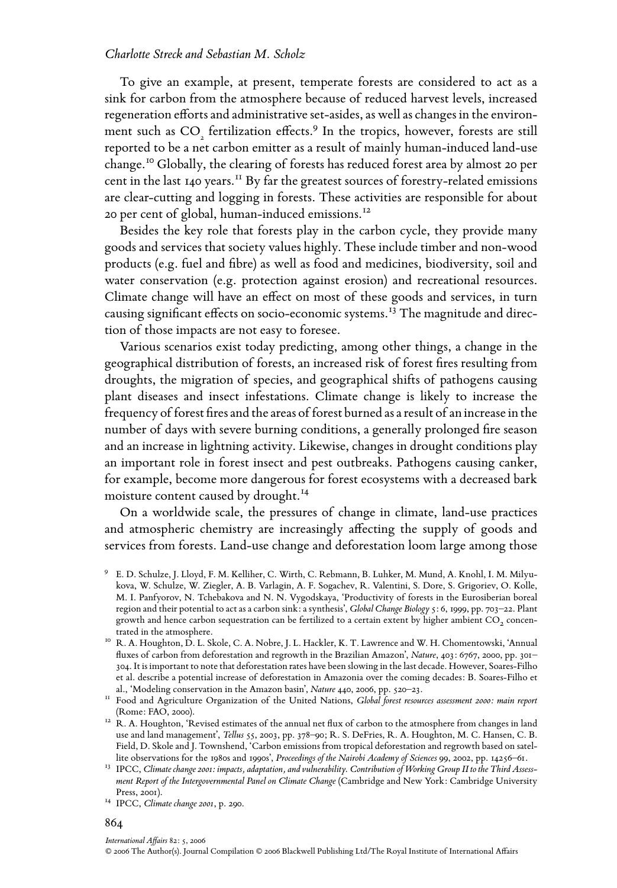To give an example, at present, temperate forests are considered to act as a sink for carbon from the atmosphere because of reduced harvest levels, increased regeneration efforts and administrative set-asides, as well as changes in the environment such as CO<sub>2</sub> fertilization effects.<sup>9</sup> In the tropics, however, forests are still reported to be a net carbon emitter as a result of mainly human-induced land-use change.10 Globally, the clearing of forests has reduced forest area by almost 20 per cent in the last 140 years.<sup>11</sup> By far the greatest sources of forestry-related emissions are clear-cutting and logging in forests. These activities are responsible for about 20 per cent of global, human-induced emissions.12

Besides the key role that forests play in the carbon cycle, they provide many goods and services that society values highly. These include timber and non-wood products (e.g. fuel and fibre) as well as food and medicines, biodiversity, soil and water conservation (e.g. protection against erosion) and recreational resources. Climate change will have an effect on most of these goods and services, in turn causing significant effects on socio-economic systems.<sup>13</sup> The magnitude and direction of those impacts are not easy to foresee.

Various scenarios exist today predicting, among other things, a change in the geographical distribution of forests, an increased risk of forest fires resulting from droughts, the migration of species, and geographical shifts of pathogens causing plant diseases and insect infestations. Climate change is likely to increase the frequency of forest fires and the areas of forest burned as a result of an increase in the number of days with severe burning conditions, a generally prolonged fire season and an increase in lightning activity. Likewise, changes in drought conditions play an important role in forest insect and pest outbreaks. Pathogens causing canker, for example, become more dangerous for forest ecosystems with a decreased bark moisture content caused by drought.<sup>14</sup>

On a worldwide scale, the pressures of change in climate, land-use practices and atmospheric chemistry are increasingly affecting the supply of goods and services from forests. Land-use change and deforestation loom large among those

- 9 E. D. Schulze, J. Lloyd, F. M. Kelliher, C. Wirth, C. Rebmann, B. Luhker, M. Mund, A. Knohl, I. M. Milyukova, W. Schulze, W. Ziegler, A. B. Varlagin, A. F. Sogachev, R. Valentini, S. Dore, S. Grigoriev, O. Kolle, M. I. Panfyorov, N. Tchebakova and N. N. Vygodskaya, 'Productivity of forests in the Eurosiberian boreal region and their potential to act as a carbon sink: a synthesis', *Global Change Biology* 5: 6, 1999, pp. 703–22. Plant growth and hence carbon sequestration can be fertilized to a certain extent by higher ambient  $\mathrm{CO}_2$  concentrated in the atmosphere.
- $10^{\circ}$  R. A. Houghton, D. L. Skole, C. A. Nobre, J. L. Hackler, K. T. Lawrence and W. H. Chomentowski, 'Annual fluxes of carbon from deforestation and regrowth in the Brazilian Amazon', *Nature*, 403: 6767, 2000, pp. 301-304. It is important to note that deforestation rates have been slowing in the last decade. However, Soares-Filho et al. describe a potential increase of deforestation in Amazonia over the coming decades: B. Soares-Filho et al., 'Modeling conservation in the Amazon basin', Nature 440, 2006, pp. 520–23.
- <sup>II</sup> Food and Agriculture Organization of the United Nations, *Global forest resources assessment 2000: main report* (Rome: FAO, 2000).
- $\overline{R}$ . A. Houghton, 'Revised estimates of the annual net flux of carbon to the atmosphere from changes in land use and land management', *Tellus* 55, 2003, pp. 378–90; R. S. DeFries, R. A. Houghton, M. C. Hansen, C. B. Field, D. Skole and J. Townshend, 'Carbon emissions from tropical deforestation and regrowth based on satellite observations for the 1980s and 1990s', Proceedings of the Nairobi Academy of Sciences 99, 2002, pp. 14256–61.
- <sup>13</sup> IPCC, Climate change 2001: impacts, adaptation, and vulnerability. Contribution of Working Group II to the Third Assess*ment Report of the Intergovernmental Panel on Climate Change* (Cambridge and New York: Cambridge University Press, 2001). 14 IPCC, *Climate change 2001*, p. 290.
- 

#### 864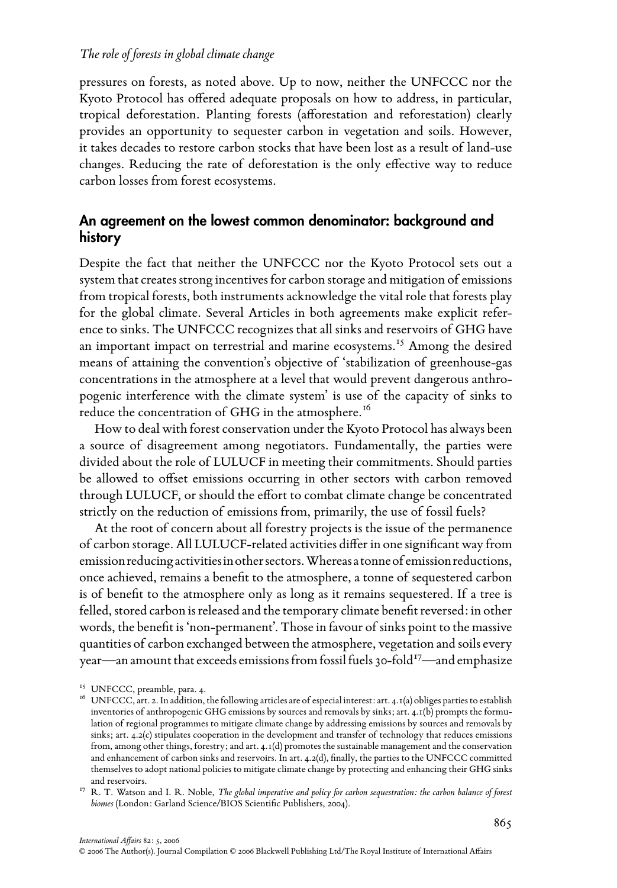pressures on forests, as noted above. Up to now, neither the UNFCCC nor the Kyoto Protocol has offered adequate proposals on how to address, in particular, tropical deforestation. Planting forests (afforestation and reforestation) clearly provides an opportunity to sequester carbon in vegetation and soils. However, it takes decades to restore carbon stocks that have been lost as a result of land-use changes. Reducing the rate of deforestation is the only effective way to reduce carbon losses from forest ecosystems.

# **An agreement on the lowest common denominator: background and history**

Despite the fact that neither the UNFCCC nor the Kyoto Protocol sets out a system that creates strong incentives for carbon storage and mitigation of emissions from tropical forests, both instruments acknowledge the vital role that forests play for the global climate. Several Articles in both agreements make explicit reference to sinks. The UNFCCC recognizes that all sinks and reservoirs of GHG have an important impact on terrestrial and marine ecosystems.<sup>15</sup> Among the desired means of attaining the convention's objective of 'stabilization of greenhouse-gas concentrations in the atmosphere at a level that would prevent dangerous anthropogenic interference with the climate system' is use of the capacity of sinks to reduce the concentration of GHG in the atmosphere.<sup>16</sup>

How to deal with forest conservation under the Kyoto Protocol has always been a source of disagreement among negotiators. Fundamentally, the parties were divided about the role of LULUCF in meeting their commitments. Should parties be allowed to offset emissions occurring in other sectors with carbon removed through LULUCF, or should the effort to combat climate change be concentrated strictly on the reduction of emissions from, primarily, the use of fossil fuels?

At the root of concern about all forestry projects is the issue of the permanence of carbon storage. All LULUCF-related activities differ in one significant way from emission reducing activities in other sectors. Whereas a tonne of emission reductions, once achieved, remains a benefit to the atmosphere, a tonne of sequestered carbon is of benefit to the atmosphere only as long as it remains sequestered. If a tree is felled, stored carbon is released and the temporary climate benefit reversed: in other words, the benefit is 'non-permanent'. Those in favour of sinks point to the massive quantities of carbon exchanged between the atmosphere, vegetation and soils every year—an amount that exceeds emissions from fossil fuels 30-fold<sup>17</sup>—and emphasize

<sup>&</sup>lt;sup>15</sup> UNFCCC, preamble, para. 4.

<sup>&</sup>lt;sup>16</sup> UNFCCC, art. 2. In addition, the following articles are of especial interest: art. 4.1(a) obliges parties to establish inventories of anthropogenic GHG emissions by sources and removals by sinks; art. 4.1(b) prompts the formulation of regional programmes to mitigate climate change by addressing emissions by sources and removals by sinks; art. 4.2(c) stipulates cooperation in the development and transfer of technology that reduces emissions from, among other things, forestry; and art. 4.1(d) promotes the sustainable management and the conservation and enhancement of carbon sinks and reservoirs. In art. 4.2(d), finally, the parties to the UNFCCC committed themselves to adopt national policies to mitigate climate change by protecting and enhancing their GHG sinks

<sup>&</sup>lt;sup>17</sup> R. T. Watson and I. R. Noble, *The global imperative and policy for carbon sequestration: the carbon balance of forest* biomes (London: Garland Science/BIOS Scientific Publishers, 2004).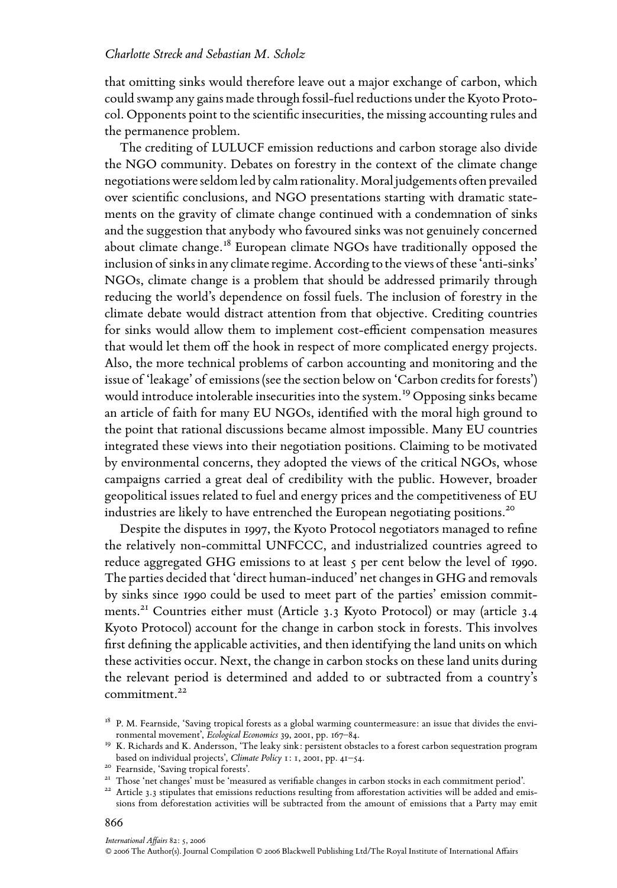that omitting sinks would therefore leave out a major exchange of carbon, which could swamp any gains made through fossil-fuel reductions under the Kyoto Protocol. Opponents point to the scientific insecurities, the missing accounting rules and the permanence problem.

The crediting of LULUCF emission reductions and carbon storage also divide the NGO community. Debates on forestry in the context of the climate change negotiations were seldom led by calm rationality. Moral judgements often prevailed over scientific conclusions, and NGO presentations starting with dramatic statements on the gravity of climate change continued with a condemnation of sinks and the suggestion that anybody who favoured sinks was not genuinely concerned about climate change.<sup>18</sup> European climate NGOs have traditionally opposed the inclusion of sinks in any climate regime. According to the views of these 'anti-sinks' NGOs, climate change is a problem that should be addressed primarily through reducing the world's dependence on fossil fuels. The inclusion of forestry in the climate debate would distract attention from that objective. Crediting countries for sinks would allow them to implement cost-efficient compensation measures that would let them off the hook in respect of more complicated energy projects. Also, the more technical problems of carbon accounting and monitoring and the issue of 'leakage' of emissions (see the section below on 'Carbon credits for forests') would introduce intolerable insecurities into the system.<sup>19</sup> Opposing sinks became an article of faith for many EU NGOs, identified with the moral high ground to the point that rational discussions became almost impossible. Many EU countries integrated these views into their negotiation positions. Claiming to be motivated by environmental concerns, they adopted the views of the critical NGOs, whose campaigns carried a great deal of credibility with the public. However, broader geopolitical issues related to fuel and energy prices and the competitiveness of EU industries are likely to have entrenched the European negotiating positions.<sup>20</sup>

Despite the disputes in 1997, the Kyoto Protocol negotiators managed to refine the relatively non-committal UNFCCC, and industrialized countries agreed to reduce aggregated GHG emissions to at least 5 per cent below the level of 1990. The parties decided that 'direct human-induced' net changes in GHG and removals by sinks since 1990 could be used to meet part of the parties' emission commitments.<sup>21</sup> Countries either must (Article 3.3 Kyoto Protocol) or may (article 3.4 Kyoto Protocol) account for the change in carbon stock in forests. This involves first defining the applicable activities, and then identifying the land units on which these activities occur. Next, the change in carbon stocks on these land units during the relevant period is determined and added to or subtracted from a country's  $commitment.<sup>22</sup>$ 

#### 866

<sup>&</sup>lt;sup>18</sup> P. M. Fearnside, 'Saving tropical forests as a global warming countermeasure: an issue that divides the environmental movement', *Ecological Economics* 39, 2001, pp. 167–84.

<sup>&</sup>lt;sup>19</sup> K. Richards and K. Andersson, 'The leaky sink: persistent obstacles to a forest carbon sequestration program based on individual projects', *Climate Policy* 1: 1, 2001, pp. 41–54.<br><sup>20</sup> Fearnside, 'Saving tropical forests'.<br><sup>21</sup> Those 'net changes' must be 'measured as verifiable changes in carbon stocks in each commitment period'

<sup>&</sup>lt;sup>22</sup> Article 3.3 stipulates that emissions reductions resulting from afforestation activities will be added and emissions from deforestation activities will be subtracted from the amount of emissions that a Party may emit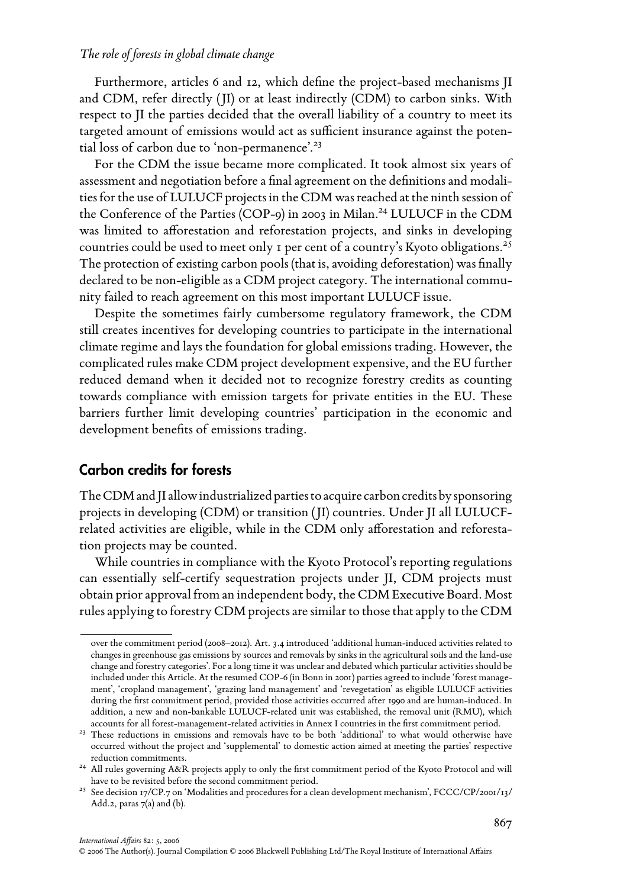Furthermore, articles 6 and 12, which define the project-based mechanisms JI and CDM, refer directly ( JI) or at least indirectly (CDM) to carbon sinks. With respect to JI the parties decided that the overall liability of a country to meet its targeted amount of emissions would act as sufficient insurance against the potential loss of carbon due to 'non-permanence'.23

For the CDM the issue became more complicated. It took almost six years of assessment and negotiation before a final agreement on the definitions and modalities for the use of LULUCF projects in the CDM was reached at the ninth session of the Conference of the Parties (COP-9) in 2003 in Milan.<sup>24</sup> LULUCF in the CDM was limited to afforestation and reforestation projects, and sinks in developing countries could be used to meet only 1 per cent of a country's Kyoto obligations.<sup>25</sup> The protection of existing carbon pools (that is, avoiding deforestation) was finally declared to be non-eligible as a CDM project category. The international community failed to reach agreement on this most important LULUCF issue.

Despite the sometimes fairly cumbersome regulatory framework, the CDM still creates incentives for developing countries to participate in the international climate regime and lays the foundation for global emissions trading. However, the complicated rules make CDM project development expensive, and the EU further reduced demand when it decided not to recognize forestry credits as counting towards compliance with emission targets for private entities in the EU. These barriers further limit developing countries' participation in the economic and development benefits of emissions trading.

# **Carbon credits for forests**

The CDM and JI allow industrialized parties to acquire carbon credits by sponsoring projects in developing (CDM) or transition ( JI) countries. Under JI all LULUCFrelated activities are eligible, while in the CDM only afforestation and reforestation projects may be counted.

While countries in compliance with the Kyoto Protocol's reporting regulations can essentially self-certify sequestration projects under JI, CDM projects must obtain prior approval from an independent body, the CDM Executive Board. Most rules applying to forestry CDM projects are similar to those that apply to the CDM

over the commitment period (2008–2012). Art. 3.4 introduced 'additional human-induced activities related to changes in greenhouse gas emissions by sources and removals by sinks in the agricultural soils and the land-use change and forestry categories'. For a long time it was unclear and debated which particular activities should be included under this Article. At the resumed COP-6 (in Bonn in 2001) parties agreed to include 'forest management', 'cropland management', 'grazing land management' and 'revegetation' as eligible LULUCF activities during the first commitment period, provided those activities occurred after 1990 and are human-induced. In addition, a new and non-bankable LULUCF-related unit was established, the removal unit (RMU), which accounts for all forest-management-related activities in Annex I countries in the first commitment period.

<sup>&</sup>lt;sup>23</sup> These reductions in emissions and removals have to be both 'additional' to what would otherwise have occurred without the project and 'supplemental' to domestic action aimed at meeting the parties' respective

<sup>&</sup>lt;sup>24</sup> All rules governing A&R projects apply to only the first commitment period of the Kyoto Protocol and will have to be revisited before the second commitment period.

<sup>&</sup>lt;sup>25</sup> See decision 17/CP.7 on 'Modalities and procedures for a clean development mechanism', FCCC/CP/2001/13/ Add.2, paras  $7(a)$  and (b).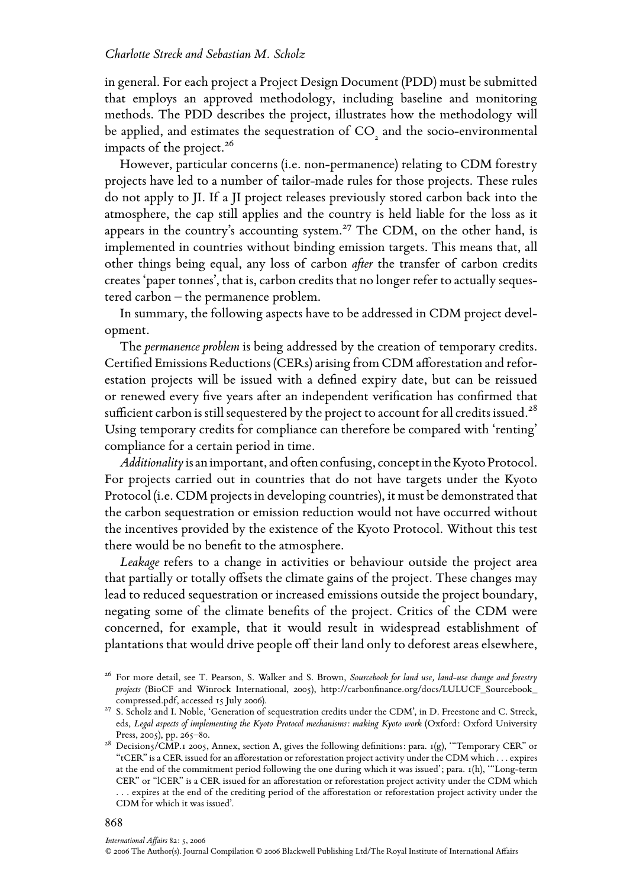in general. For each project a Project Design Document (PDD) must be submitted that employs an approved methodology, including baseline and monitoring methods. The PDD describes the project, illustrates how the methodology will be applied, and estimates the sequestration of  $CO<sub>2</sub>$  and the socio-environmental impacts of the project. $^{26}$ 

However, particular concerns (i.e. non-permanence) relating to CDM forestry projects have led to a number of tailor-made rules for those projects. These rules do not apply to JI. If a JI project releases previously stored carbon back into the atmosphere, the cap still applies and the country is held liable for the loss as it appears in the country's accounting system.<sup>27</sup> The CDM, on the other hand, is implemented in countries without binding emission targets. This means that, all other things being equal, any loss of carbon *after* the transfer of carbon credits creates 'paper tonnes', that is, carbon credits that no longer refer to actually sequestered carbon – the permanence problem.

In summary, the following aspects have to be addressed in CDM project development.

The *permanence problem* is being addressed by the creation of temporary credits. Certified Emissions Reductions (CERs) arising from CDM afforestation and reforestation projects will be issued with a defined expiry date, but can be reissued or renewed every five years after an independent verification has confirmed that sufficient carbon is still sequestered by the project to account for all credits issued.<sup>28</sup> Using temporary credits for compliance can therefore be compared with 'renting' compliance for a certain period in time.

*Additionality* is an important, and often confusing, concept in the Kyoto Protocol. For projects carried out in countries that do not have targets under the Kyoto Protocol (i.e. CDM projects in developing countries), it must be demonstrated that the carbon sequestration or emission reduction would not have occurred without the incentives provided by the existence of the Kyoto Protocol. Without this test there would be no benefit to the atmosphere.

*Leakage* refers to a change in activities or behaviour outside the project area that partially or totally offsets the climate gains of the project. These changes may lead to reduced sequestration or increased emissions outside the project boundary, negating some of the climate benefits of the project. Critics of the CDM were concerned, for example, that it would result in widespread establishment of plantations that would drive people off their land only to deforest areas elsewhere,

<sup>26</sup> For more detail, see T. Pearson, S. Walker and S. Brown, *Sourcebook for land use, land-use change and forestry*  projects (BioCF and Winrock International, 2005), http://carbonfinance.org/docs/LULUCF\_Sourcebook\_

compressed.pdf, accessed 15 July 2006).  $27$  S. Scholz and I. Noble, 'Generation of sequestration credits under the CDM', in D. Freestone and C. Streck, eds, *Legal aspects of implementing the Kyoto Protocol mechanisms: making Kyoto work* (Oxford: Oxford University

<sup>&</sup>lt;sup>28</sup> Decision5/CMP.1 2005, Annex, section A, gives the following definitions: para. 1(g), "Temporary CER" or "tCER" is a CER issued for an afforestation or reforestation project activity under the CDM which . . . expires at the end of the commitment period following the one during which it was issued'; para. 1(h), '"Long-term CER" or "lCER" is a CER issued for an afforestation or reforestation project activity under the CDM which ... expires at the end of the crediting period of the afforestation or reforestation project activity under the CDM for which it was issued'.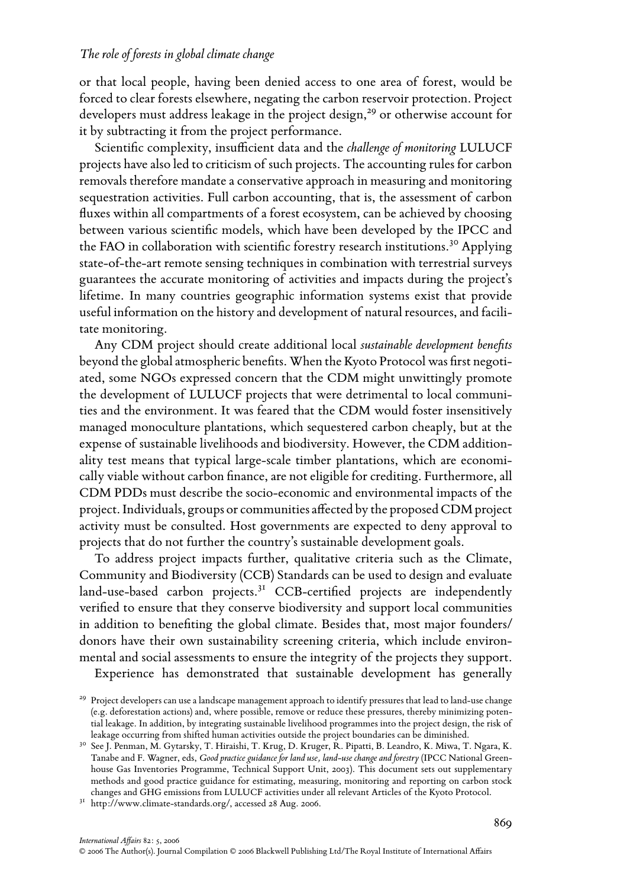or that local people, having been denied access to one area of forest, would be forced to clear forests elsewhere, negating the carbon reservoir protection. Project developers must address leakage in the project design,<sup>29</sup> or otherwise account for it by subtracting it from the project performance.

Scientific complexity, insufficient data and the *challenge of monitoring* LULUCF projects have also led to criticism of such projects. The accounting rules for carbon removals therefore mandate a conservative approach in measuring and monitoring sequestration activities. Full carbon accounting, that is, the assessment of carbon fluxes within all compartments of a forest ecosystem, can be achieved by choosing between various scientific models, which have been developed by the IPCC and the FAO in collaboration with scientific forestry research institutions.<sup>30</sup> Applying state-of-the-art remote sensing techniques in combination with terrestrial surveys guarantees the accurate monitoring of activities and impacts during the project's lifetime. In many countries geographic information systems exist that provide useful information on the history and development of natural resources, and facilitate monitoring.

Any CDM project should create additional local *sustainable development benefits* beyond the global atmospheric benefits. When the Kyoto Protocol was first negotiated, some NGOs expressed concern that the CDM might unwittingly promote the development of LULUCF projects that were detrimental to local communities and the environment. It was feared that the CDM would foster insensitively managed monoculture plantations, which sequestered carbon cheaply, but at the expense of sustainable livelihoods and biodiversity. However, the CDM additionality test means that typical large-scale timber plantations, which are economically viable without carbon finance, are not eligible for crediting. Furthermore, all CDM PDDs must describe the socio-economic and environmental impacts of the project. Individuals, groups or communities affected by the proposed CDM project activity must be consulted. Host governments are expected to deny approval to projects that do not further the country's sustainable development goals.

To address project impacts further, qualitative criteria such as the Climate, Community and Biodiversity (CCB) Standards can be used to design and evaluate land-use-based carbon projects. $3I$  CCB-certified projects are independently verified to ensure that they conserve biodiversity and support local communities in addition to benefiting the global climate. Besides that, most major founders/ donors have their own sustainability screening criteria, which include environmental and social assessments to ensure the integrity of the projects they support.

Experience has demonstrated that sustainable development has generally

<sup>&</sup>lt;sup>29</sup> Project developers can use a landscape management approach to identify pressures that lead to land-use change (e.g. deforestation actions) and, where possible, remove or reduce these pressures, thereby minimizing potential leakage. In addition, by integrating sustainable livelihood programmes into the project design, the risk of

<sup>&</sup>lt;sup>30</sup> See J. Penman, M. Gytarsky, T. Hiraishi, T. Krug, D. Kruger, R. Pipatti, B. Leandro, K. Miwa, T. Ngara, K. Tanabe and F. Wagner, eds, *Good practice guidance for land use, land-use change and forestry* (IPCC National Greenhouse Gas Inventories Programme, Technical Support Unit, 2003). This document sets out supplementary methods and good practice guidance for estimating, measuring, monitoring and reporting on carbon stock changes and GHG emissions from LULUCF activities under all relevant Articles of the Kyoto Protocol. 31 http://www.climate-standards.org/, accessed 28 Aug. 2006.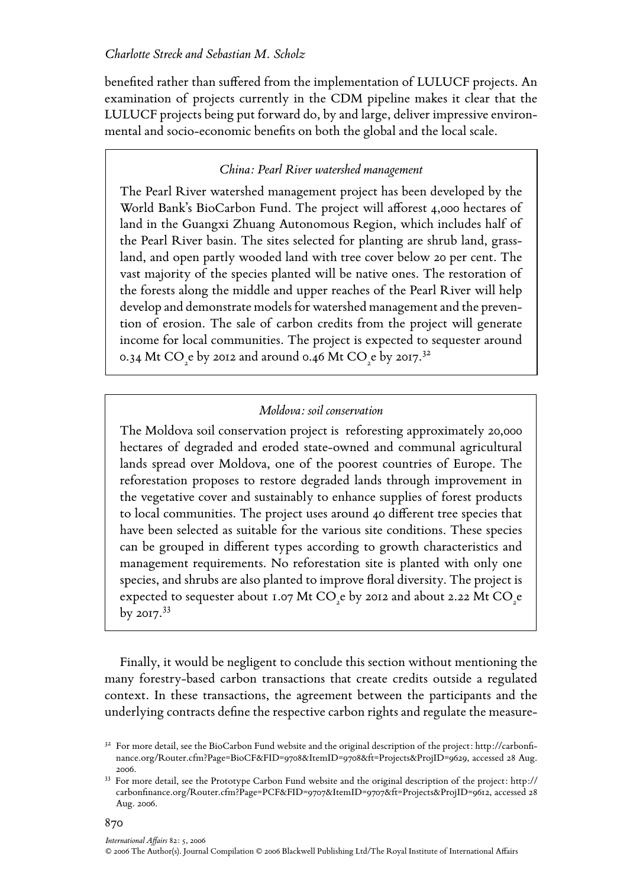benefited rather than suffered from the implementation of LULUCF projects. An examination of projects currently in the CDM pipeline makes it clear that the LULUCF projects being put forward do, by and large, deliver impressive environmental and socio-economic benefits on both the global and the local scale.

# *China: Pearl River watershed management*

The Pearl River watershed management project has been developed by the World Bank's BioCarbon Fund. The project will afforest 4,000 hectares of land in the Guangxi Zhuang Autonomous Region, which includes half of the Pearl River basin. The sites selected for planting are shrub land, grassland, and open partly wooded land with tree cover below 20 per cent. The vast majority of the species planted will be native ones. The restoration of the forests along the middle and upper reaches of the Pearl River will help develop and demonstrate models for watershed management and the prevention of erosion. The sale of carbon credits from the project will generate income for local communities. The project is expected to sequester around 0.34 Mt CO<sub>2</sub>e by 2012 and around 0.46 Mt CO<sub>2</sub>e by 2017.<sup>32</sup>

# *Moldova: soil conservation*

The Moldova soil conservation project is reforesting approximately 20,000 hectares of degraded and eroded state-owned and communal agricultural lands spread over Moldova, one of the poorest countries of Europe. The reforestation proposes to restore degraded lands through improvement in the vegetative cover and sustainably to enhance supplies of forest products to local communities. The project uses around 40 different tree species that have been selected as suitable for the various site conditions. These species can be grouped in different types according to growth characteristics and management requirements. No reforestation site is planted with only one species, and shrubs are also planted to improve floral diversity. The project is expected to sequester about 1.07 Mt CO<sub>2</sub>e by 2012 and about 2.22 Mt CO<sub>2</sub>e  $by 2017.<sup>33</sup>$ 

Finally, it would be negligent to conclude this section without mentioning the many forestry-based carbon transactions that create credits outside a regulated context. In these transactions, the agreement between the participants and the underlying contracts define the respective carbon rights and regulate the measure-

 $32$  For more detail, see the BioCarbon Fund website and the original description of the project: http://carbonfinance.org/Router.cfm?Page=BioCF&FID=9708&ItemID=9708&ft=Projects&ProjID=9629, accessed 28 Aug.

<sup>&</sup>lt;sup>33</sup> For more detail, see the Prototype Carbon Fund website and the original description of the project: http:// carbonfinance.org/Router.cfm?Page=PCF&FID=9707&ItemID=9707&ft=Projects&ProjID=9612, accessed 28 Aug. 2006.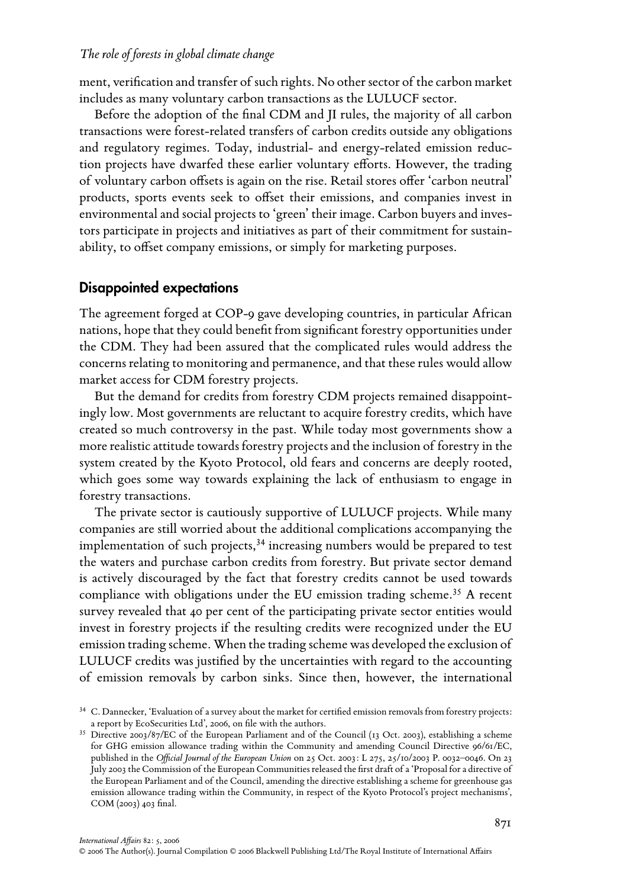ment, verification and transfer of such rights. No other sector of the carbon market includes as many voluntary carbon transactions as the LULUCF sector.

Before the adoption of the final CDM and JI rules, the majority of all carbon transactions were forest-related transfers of carbon credits outside any obligations and regulatory regimes. Today, industrial- and energy-related emission reduction projects have dwarfed these earlier voluntary efforts. However, the trading of voluntary carbon offsets is again on the rise. Retail stores offer 'carbon neutral' products, sports events seek to offset their emissions, and companies invest in environmental and social projects to 'green' their image. Carbon buyers and investors participate in projects and initiatives as part of their commitment for sustainability, to offset company emissions, or simply for marketing purposes.

## **Disappointed expectations**

The agreement forged at COP-9 gave developing countries, in particular African nations, hope that they could benefit from significant forestry opportunities under the CDM. They had been assured that the complicated rules would address the concerns relating to monitoring and permanence, and that these rules would allow market access for CDM forestry projects.

But the demand for credits from forestry CDM projects remained disappointingly low. Most governments are reluctant to acquire forestry credits, which have created so much controversy in the past. While today most governments show a more realistic attitude towards forestry projects and the inclusion of forestry in the system created by the Kyoto Protocol, old fears and concerns are deeply rooted, which goes some way towards explaining the lack of enthusiasm to engage in forestry transactions.

The private sector is cautiously supportive of LULUCF projects. While many companies are still worried about the additional complications accompanying the implementation of such projects,<sup>34</sup> increasing numbers would be prepared to test the waters and purchase carbon credits from forestry. But private sector demand is actively discouraged by the fact that forestry credits cannot be used towards compliance with obligations under the EU emission trading scheme.<sup>35</sup> A recent survey revealed that 40 per cent of the participating private sector entities would invest in forestry projects if the resulting credits were recognized under the EU emission trading scheme. When the trading scheme was developed the exclusion of LULUCF credits was justified by the uncertainties with regard to the accounting of emission removals by carbon sinks. Since then, however, the international

 $^{34}\,$  C. Dannecker, 'Evaluation of a survey about the market for certified emission removals from forestry projects: a report by EcoSecurities Ltd', 2006, on file with the authors.

<sup>&</sup>lt;sup>35</sup> Directive 2003/87/EC of the European Parliament and of the Council (13 Oct. 2003), establishing a scheme for GHG emission allowance trading within the Community and amending Council Directive 96/61/EC, published in the *Official Journal of the European Union* on 25 Oct. 2003: L 275, 25/10/2003 P. 0032–0046. On 23 July 2003 the Commission of the European Communities released the first draft of a 'Proposal for a directive of the European Parliament and of the Council, amending the directive establishing a scheme for greenhouse gas emission allowance trading within the Community, in respect of the Kyoto Protocol's project mechanisms', COM (2003) 403 final.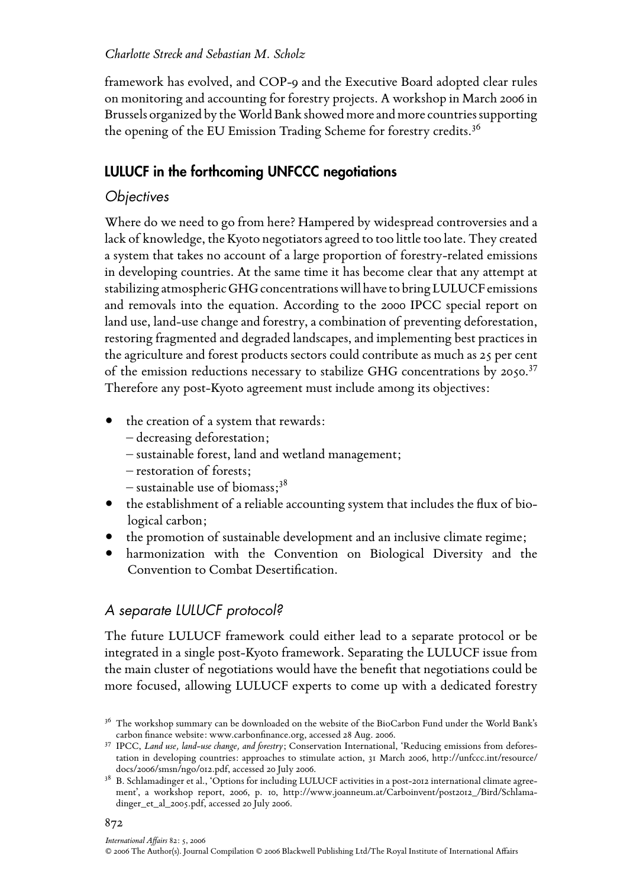framework has evolved, and COP-9 and the Executive Board adopted clear rules on monitoring and accounting for forestry projects. A workshop in March 2006 in Brussels organized by the World Bank showed more and more countries supporting the opening of the EU Emission Trading Scheme for forestry credits.<sup>36</sup>

# **LULUCF in the forthcoming UNFCCC negotiations**

# *Objectives*

Where do we need to go from here? Hampered by widespread controversies and a lack of knowledge, the Kyoto negotiators agreed to too little too late. They created a system that takes no account of a large proportion of forestry-related emissions in developing countries. At the same time it has become clear that any attempt at stabilizing atmospheric GHG concentrations will have to bring LULUCF emissions and removals into the equation. According to the 2000 IPCC special report on land use, land-use change and forestry, a combination of preventing deforestation, restoring fragmented and degraded landscapes, and implementing best practices in the agriculture and forest products sectors could contribute as much as 25 per cent of the emission reductions necessary to stabilize GHG concentrations by 2050.<sup>37</sup> Therefore any post-Kyoto agreement must include among its objectives:

- the creation of a system that rewards:
	- decreasing deforestation;
	- sustainable forest, land and wetland management;
	- restoration of forests;
	- sustainable use of biomass;38
- the establishment of a reliable accounting system that includes the flux of biological carbon;
- the promotion of sustainable development and an inclusive climate regime;
- harmonization with the Convention on Biological Diversity and the Convention to Combat Desertification.

# *A separate LULUCF protocol?*

The future LULUCF framework could either lead to a separate protocol or be integrated in a single post-Kyoto framework. Separating the LULUCF issue from the main cluster of negotiations would have the benefit that negotiations could be more focused, allowing LULUCF experts to come up with a dedicated forestry

<sup>&</sup>lt;sup>36</sup> The workshop summary can be downloaded on the website of the BioCarbon Fund under the World Bank's carbon finance website: www.carbonfinance.org, accessed 28 Aug. 2006.

<sup>&</sup>lt;sup>37</sup> IPCC, *Land use, land-use change, and forestry*; Conservation International, 'Reducing emissions from deforestation in developing countries: approaches to stimulate action, 31 March 2006, http://unfccc.int/resource/

<sup>&</sup>lt;sup>38</sup> B. Schlamadinger et al., 'Options for including LULUCF activities in a post-2012 international climate agreement', a workshop report, 2006, p. 10, http://www.joanneum.at/Carboinvent/post2012\_/Bird/Schlamadinger\_et\_al\_2005.pdf, accessed 20 July 2006.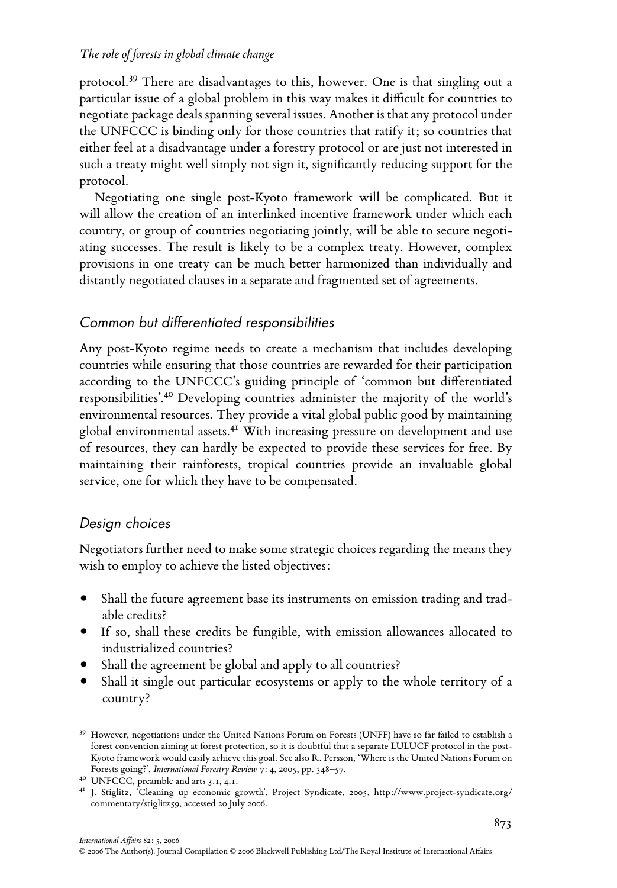protocol.39 There are disadvantages to this, however. One is that singling out a particular issue of a global problem in this way makes it difficult for countries to negotiate package deals spanning several issues. Another is that any protocol under the UNFCCC is binding only for those countries that ratify it; so countries that either feel at a disadvantage under a forestry protocol or are just not interested in such a treaty might well simply not sign it, significantly reducing support for the protocol.

Negotiating one single post-Kyoto framework will be complicated. But it will allow the creation of an interlinked incentive framework under which each country, or group of countries negotiating jointly, will be able to secure negotiating successes. The result is likely to be a complex treaty. However, complex provisions in one treaty can be much better harmonized than individually and distantly negotiated clauses in a separate and fragmented set of agreements.

# *Common but differentiated responsibilities*

Any post-Kyoto regime needs to create a mechanism that includes developing countries while ensuring that those countries are rewarded for their participation according to the UNFCCC's guiding principle of 'common but differentiated responsibilities'.40 Developing countries administer the majority of the world's environmental resources. They provide a vital global public good by maintaining global environmental assets.41 With increasing pressure on development and use of resources, they can hardly be expected to provide these services for free. By maintaining their rainforests, tropical countries provide an invaluable global service, one for which they have to be compensated.

# *Design choices*

Negotiators further need to make some strategic choices regarding the means they wish to employ to achieve the listed objectives:

- Shall the future agreement base its instruments on emission trading and tradable credits?
- If so, shall these credits be fungible, with emission allowances allocated to industrialized countries?
- Shall the agreement be global and apply to all countries?
- Shall it single out particular ecosystems or apply to the whole territory of a country?

<sup>39</sup> However, negotiations under the United Nations Forum on Forests (UNFF) have so far failed to establish a forest convention aiming at forest protection, so it is doubtful that a separate LULUCF protocol in the post-Kyoto framework would easily achieve this goal. See also R. Persson, 'Where is the United Nations Forum on Forests going?', *International Forestry Review* 7: 4, 2005, pp. 348–57. 40 UNFCCC, preamble and arts 3.1, 4.1.

<sup>41</sup> J. Stiglitz, 'Cleaning up economic growth', Project Syndicate, 2005, http://www.project-syndicate.org/ commentary/stiglitz59, accessed 20 July 2006.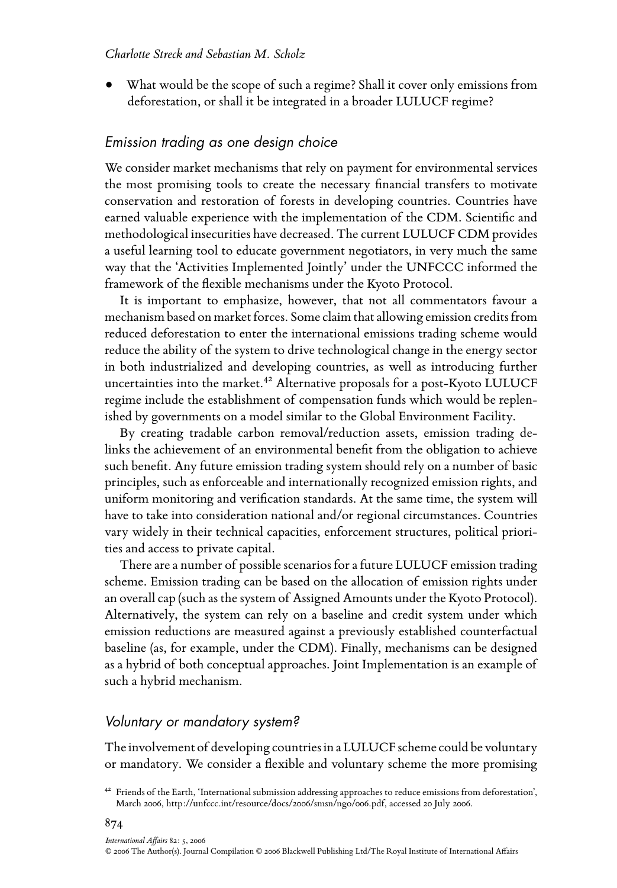• What would be the scope of such a regime? Shall it cover only emissions from deforestation, or shall it be integrated in a broader LULUCF regime?

## *Emission trading as one design choice*

We consider market mechanisms that rely on payment for environmental services the most promising tools to create the necessary financial transfers to motivate conservation and restoration of forests in developing countries. Countries have earned valuable experience with the implementation of the CDM. Scientific and methodological insecurities have decreased. The current LULUCF CDM provides a useful learning tool to educate government negotiators, in very much the same way that the 'Activities Implemented Jointly' under the UNFCCC informed the framework of the flexible mechanisms under the Kyoto Protocol.

It is important to emphasize, however, that not all commentators favour a mechanism based on market forces. Some claim that allowing emission credits from reduced deforestation to enter the international emissions trading scheme would reduce the ability of the system to drive technological change in the energy sector in both industrialized and developing countries, as well as introducing further uncertainties into the market.<sup>42</sup> Alternative proposals for a post-Kyoto LULUCF regime include the establishment of compensation funds which would be replenished by governments on a model similar to the Global Environment Facility.

By creating tradable carbon removal/reduction assets, emission trading delinks the achievement of an environmental benefit from the obligation to achieve such benefit. Any future emission trading system should rely on a number of basic principles, such as enforceable and internationally recognized emission rights, and uniform monitoring and verification standards. At the same time, the system will have to take into consideration national and/or regional circumstances. Countries vary widely in their technical capacities, enforcement structures, political priorities and access to private capital.

There are a number of possible scenarios for a future LULUCF emission trading scheme. Emission trading can be based on the allocation of emission rights under an overall cap (such as the system of Assigned Amounts under the Kyoto Protocol). Alternatively, the system can rely on a baseline and credit system under which emission reductions are measured against a previously established counterfactual baseline (as, for example, under the CDM). Finally, mechanisms can be designed as a hybrid of both conceptual approaches. Joint Implementation is an example of such a hybrid mechanism.

## *Voluntary or mandatory system?*

874

The involvement of developing countries in a LULUCF scheme could be voluntary or mandatory. We consider a flexible and voluntary scheme the more promising

<sup>&</sup>lt;sup>42</sup> Friends of the Earth, 'International submission addressing approaches to reduce emissions from deforestation', March 2006, http://unfccc.int/resource/docs/2006/smsn/ngo/006.pdf, accessed 20 July 2006.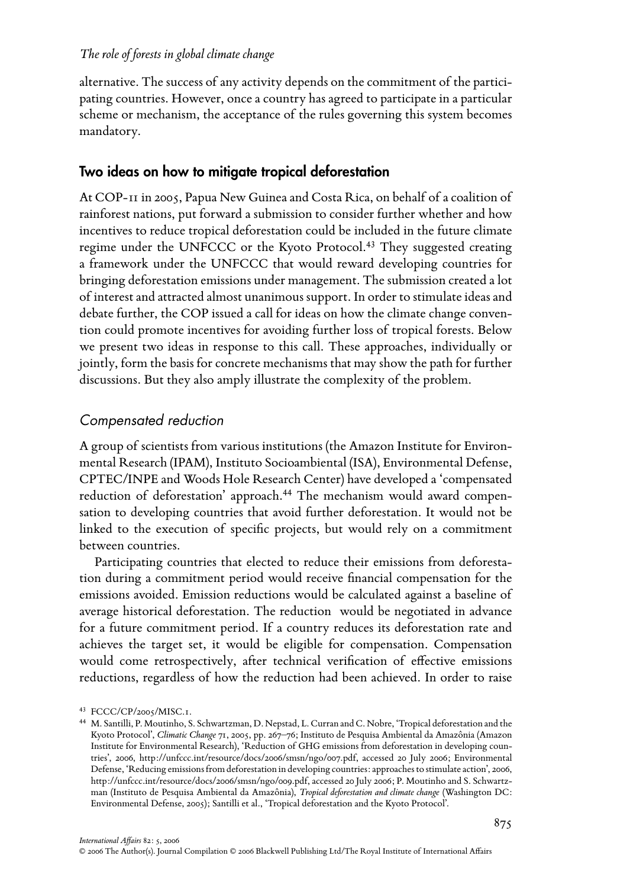alternative. The success of any activity depends on the commitment of the participating countries. However, once a country has agreed to participate in a particular scheme or mechanism, the acceptance of the rules governing this system becomes mandatory.

# **Two ideas on how to mitigate tropical deforestation**

At COP-11 in 2005, Papua New Guinea and Costa Rica, on behalf of a coalition of rainforest nations, put forward a submission to consider further whether and how incentives to reduce tropical deforestation could be included in the future climate regime under the UNFCCC or the Kyoto Protocol.<sup>43</sup> They suggested creating a framework under the UNFCCC that would reward developing countries for bringing deforestation emissions under management. The submission created a lot of interest and attracted almost unanimous support. In order to stimulate ideas and debate further, the COP issued a call for ideas on how the climate change convention could promote incentives for avoiding further loss of tropical forests. Below we present two ideas in response to this call. These approaches, individually or jointly, form the basis for concrete mechanisms that may show the path for further discussions. But they also amply illustrate the complexity of the problem.

# *Compensated reduction*

A group of scientists from various institutions (the Amazon Institute for Environmental Research (IPAM), Instituto Socioambiental (ISA), Environmental Defense, CPTEC/INPE and Woods Hole Research Center) have developed a 'compensated reduction of deforestation' approach.<sup>44</sup> The mechanism would award compensation to developing countries that avoid further deforestation. It would not be linked to the execution of specific projects, but would rely on a commitment between countries.

Participating countries that elected to reduce their emissions from deforestation during a commitment period would receive financial compensation for the emissions avoided. Emission reductions would be calculated against a baseline of average historical deforestation. The reduction would be negotiated in advance for a future commitment period. If a country reduces its deforestation rate and achieves the target set, it would be eligible for compensation. Compensation would come retrospectively, after technical verification of effective emissions reductions, regardless of how the reduction had been achieved. In order to raise

<sup>43</sup> FCCC/CP/2005/MISC.1.

<sup>44</sup> M. Santilli, P. Moutinho, S. Schwartzman, D. Nepstad, L. Curran and C. Nobre, 'Tropical deforestation and the Kyoto Protocol', *Climatic Change* 71, 2005, pp. 267–76; Instituto de Pesquisa Ambiental da Amazônia (Amazon Institute for Environmental Research), 'Reduction of GHG emissions from deforestation in developing countries', 2006, http://unfccc.int/resource/docs/2006/smsn/ngo/007.pdf, accessed 20 July 2006; Environmental Defense, 'Reducing emissions from deforestation in developing countries: approaches to stimulate action', 2006, http://unfccc.int/resource/docs/2006/smsn/ngo/009.pdf, accessed 20 July 2006; P. Moutinho and S. Schwartzman (Instituto de Pesquisa Ambiental da Amazônia), *Tropical deforestation and climate change* (Washington DC: Environmental Defense, 2005); Santilli et al., 'Tropical deforestation and the Kyoto Protocol'.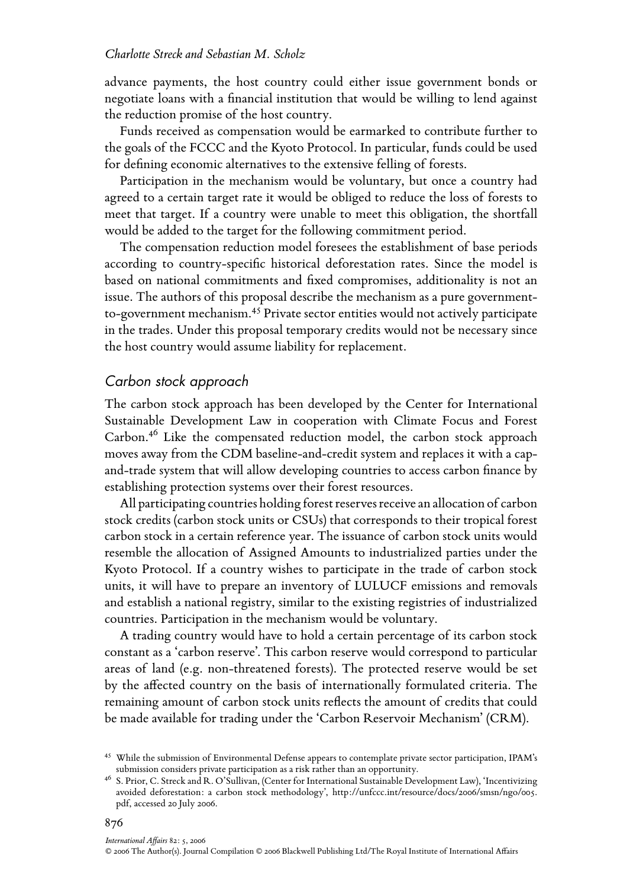advance payments, the host country could either issue government bonds or negotiate loans with a financial institution that would be willing to lend against the reduction promise of the host country.

Funds received as compensation would be earmarked to contribute further to the goals of the FCCC and the Kyoto Protocol. In particular, funds could be used for defining economic alternatives to the extensive felling of forests.

Participation in the mechanism would be voluntary, but once a country had agreed to a certain target rate it would be obliged to reduce the loss of forests to meet that target. If a country were unable to meet this obligation, the shortfall would be added to the target for the following commitment period.

The compensation reduction model foresees the establishment of base periods according to country-specific historical deforestation rates. Since the model is based on national commitments and fixed compromises, additionality is not an issue. The authors of this proposal describe the mechanism as a pure governmentto-government mechanism.<sup>45</sup> Private sector entities would not actively participate in the trades. Under this proposal temporary credits would not be necessary since the host country would assume liability for replacement.

## *Carbon stock approach*

The carbon stock approach has been developed by the Center for International Sustainable Development Law in cooperation with Climate Focus and Forest Carbon.<sup>46</sup> Like the compensated reduction model, the carbon stock approach moves away from the CDM baseline-and-credit system and replaces it with a capand-trade system that will allow developing countries to access carbon finance by establishing protection systems over their forest resources.

All participating countries holding forest reserves receive an allocation of carbon stock credits (carbon stock units or CSUs) that corresponds to their tropical forest carbon stock in a certain reference year. The issuance of carbon stock units would resemble the allocation of Assigned Amounts to industrialized parties under the Kyoto Protocol. If a country wishes to participate in the trade of carbon stock units, it will have to prepare an inventory of LULUCF emissions and removals and establish a national registry, similar to the existing registries of industrialized countries. Participation in the mechanism would be voluntary.

A trading country would have to hold a certain percentage of its carbon stock constant as a 'carbon reserve'. This carbon reserve would correspond to particular areas of land (e.g. non-threatened forests). The protected reserve would be set by the affected country on the basis of internationally formulated criteria. The remaining amount of carbon stock units reflects the amount of credits that could be made available for trading under the 'Carbon Reservoir Mechanism' (CRM).

<sup>45</sup> While the submission of Environmental Defense appears to contemplate private sector participation, IPAM's

<sup>&</sup>lt;sup>46</sup> S. Prior, C. Streck and R. O'Sullivan, (Center for International Sustainable Development Law), 'Incentivizing avoided deforestation: a carbon stock methodology', http://unfccc.int/resource/docs/2006/smsn/ngo/005. pdf, accessed 20 July 2006.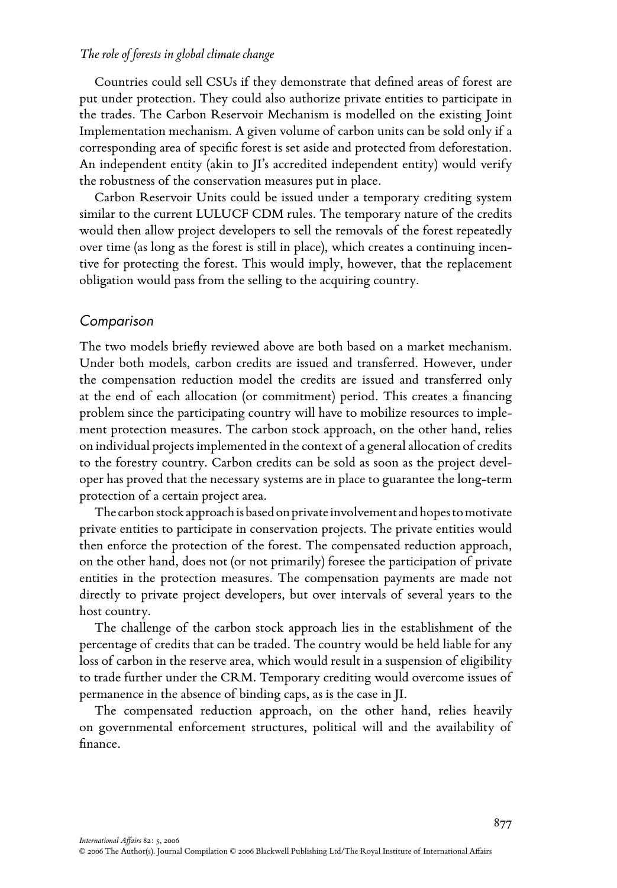Countries could sell CSUs if they demonstrate that defined areas of forest are put under protection. They could also authorize private entities to participate in the trades. The Carbon Reservoir Mechanism is modelled on the existing Joint Implementation mechanism. A given volume of carbon units can be sold only if a corresponding area of specific forest is set aside and protected from deforestation. An independent entity (akin to JI's accredited independent entity) would verify the robustness of the conservation measures put in place.

Carbon Reservoir Units could be issued under a temporary crediting system similar to the current LULUCF CDM rules. The temporary nature of the credits would then allow project developers to sell the removals of the forest repeatedly over time (as long as the forest is still in place), which creates a continuing incentive for protecting the forest. This would imply, however, that the replacement obligation would pass from the selling to the acquiring country.

# *Comparison*

The two models briefly reviewed above are both based on a market mechanism. Under both models, carbon credits are issued and transferred. However, under the compensation reduction model the credits are issued and transferred only at the end of each allocation (or commitment) period. This creates a financing problem since the participating country will have to mobilize resources to implement protection measures. The carbon stock approach, on the other hand, relies on individual projects implemented in the context of a general allocation of credits to the forestry country. Carbon credits can be sold as soon as the project developer has proved that the necessary systems are in place to guarantee the long-term protection of a certain project area.

The carbon stock approach is based on private involvement and hopes to motivate private entities to participate in conservation projects. The private entities would then enforce the protection of the forest. The compensated reduction approach, on the other hand, does not (or not primarily) foresee the participation of private entities in the protection measures. The compensation payments are made not directly to private project developers, but over intervals of several years to the host country.

The challenge of the carbon stock approach lies in the establishment of the percentage of credits that can be traded. The country would be held liable for any loss of carbon in the reserve area, which would result in a suspension of eligibility to trade further under the CRM. Temporary crediting would overcome issues of permanence in the absence of binding caps, as is the case in JI.

The compensated reduction approach, on the other hand, relies heavily on governmental enforcement structures, political will and the availability of fi nance.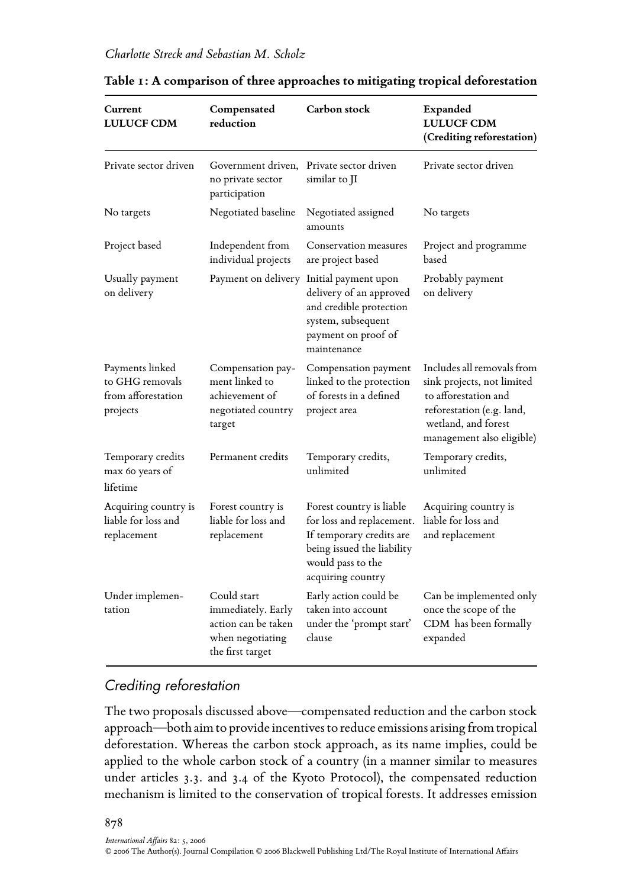| Current<br><b>LULUCF CDM</b>                                         | Compensated<br>reduction                                                                         | Carbon stock                                                                                                                                               | Expanded<br><b>LULUCF CDM</b><br>(Crediting reforestation)                                                                                                        |
|----------------------------------------------------------------------|--------------------------------------------------------------------------------------------------|------------------------------------------------------------------------------------------------------------------------------------------------------------|-------------------------------------------------------------------------------------------------------------------------------------------------------------------|
| Private sector driven                                                | Government driven,<br>no private sector<br>participation                                         | Private sector driven<br>similar to JI                                                                                                                     | Private sector driven                                                                                                                                             |
| No targets                                                           | Negotiated baseline                                                                              | Negotiated assigned<br>amounts                                                                                                                             | No targets                                                                                                                                                        |
| Project based                                                        | Independent from<br>individual projects                                                          | Conservation measures<br>are project based                                                                                                                 | Project and programme<br>based                                                                                                                                    |
| Usually payment<br>on delivery                                       |                                                                                                  | Payment on delivery Initial payment upon<br>delivery of an approved<br>and credible protection<br>system, subsequent<br>payment on proof of<br>maintenance | Probably payment<br>on delivery                                                                                                                                   |
| Payments linked<br>to GHG removals<br>from afforestation<br>projects | Compensation pay-<br>ment linked to<br>achievement of<br>negotiated country<br>target            | Compensation payment<br>linked to the protection<br>of forests in a defined<br>project area                                                                | Includes all removals from<br>sink projects, not limited<br>to afforestation and<br>reforestation (e.g. land,<br>wetland, and forest<br>management also eligible) |
| Temporary credits<br>max 60 years of<br>lifetime                     | Permanent credits                                                                                | Temporary credits,<br>unlimited                                                                                                                            | Temporary credits,<br>unlimited                                                                                                                                   |
| Acquiring country is<br>liable for loss and<br>replacement           | Forest country is<br>liable for loss and<br>replacement                                          | Forest country is liable<br>for loss and replacement.<br>If temporary credits are<br>being issued the liability<br>would pass to the<br>acquiring country  | Acquiring country is<br>liable for loss and<br>and replacement                                                                                                    |
| Under implemen-<br>tation                                            | Could start<br>immediately. Early<br>action can be taken<br>when negotiating<br>the first target | Early action could be<br>taken into account<br>under the 'prompt start'<br>clause                                                                          | Can be implemented only<br>once the scope of the<br>CDM has been formally<br>expanded                                                                             |

## **Table 1: A comparison of three approaches to mitigating tropical deforestation**

# *Crediting reforestation*

The two proposals discussed above—compensated reduction and the carbon stock approach—both aim to provide incentives to reduce emissions arising from tropical deforestation. Whereas the carbon stock approach, as its name implies, could be applied to the whole carbon stock of a country (in a manner similar to measures under articles 3.3. and 3.4 of the Kyoto Protocol), the compensated reduction mechanism is limited to the conservation of tropical forests. It addresses emission